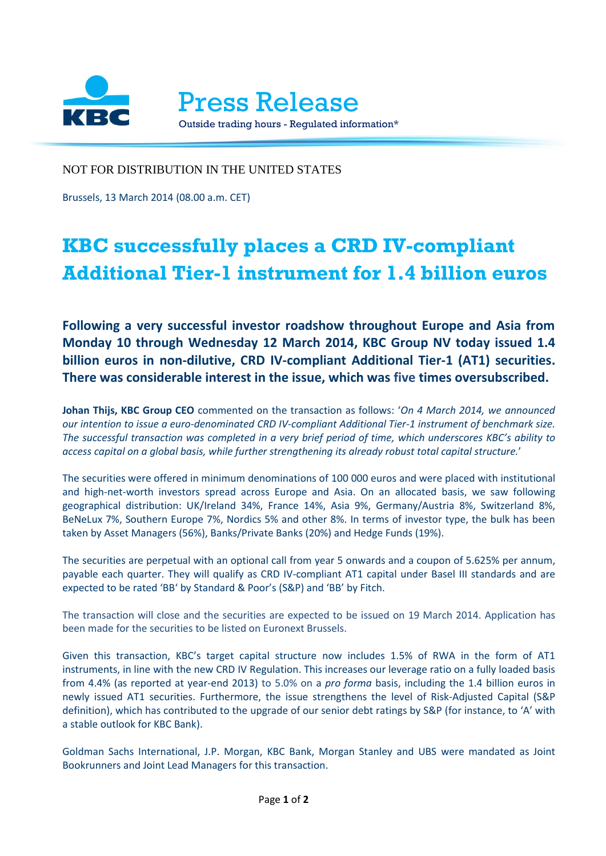

NOT FOR DISTRIBUTION IN THE UNITED STATES

Brussels, 13 March 2014 (08.00 a.m. CET)

## **KBC successfully places a CRD IV-compliant Additional Tier-1 instrument for 1.4 billion euros**

**Following a very successful investor roadshow throughout Europe and Asia from Monday 10 through Wednesday 12 March 2014, KBC Group NV today issued 1.4 billion euros in non-dilutive, CRD IV-compliant Additional Tier-1 (AT1) securities. There was considerable interest in the issue, which was five times oversubscribed.**

**Johan Thijs, KBC Group CEO** commented on the transaction as follows: '*On 4 March 2014, we announced our intention to issue a euro-denominated CRD IV-compliant Additional Tier-1 instrument of benchmark size. The successful transaction was completed in a very brief period of time, which underscores KBC's ability to access capital on a global basis, while further strengthening its already robust total capital structure.*'

The securities were offered in minimum denominations of 100 000 euros and were placed with institutional and high-net-worth investors spread across Europe and Asia. On an allocated basis, we saw following geographical distribution: UK/Ireland 34%, France 14%, Asia 9%, Germany/Austria 8%, Switzerland 8%, BeNeLux 7%, Southern Europe 7%, Nordics 5% and other 8%. In terms of investor type, the bulk has been taken by Asset Managers (56%), Banks/Private Banks (20%) and Hedge Funds (19%).

The securities are perpetual with an optional call from year 5 onwards and a coupon of 5.625% per annum, payable each quarter. They will qualify as CRD IV-compliant AT1 capital under Basel III standards and are expected to be rated 'BB' by Standard & Poor's (S&P) and 'BB' by Fitch.

The transaction will close and the securities are expected to be issued on 19 March 2014. Application has been made for the securities to be listed on Euronext Brussels.

Given this transaction, KBC's target capital structure now includes 1.5% of RWA in the form of AT1 instruments, in line with the new CRD IV Regulation. This increases our leverage ratio on a fully loaded basis from 4.4% (as reported at year-end 2013) to 5.0% on a *pro forma* basis, including the 1.4 billion euros in newly issued AT1 securities. Furthermore, the issue strengthens the level of Risk-Adjusted Capital (S&P definition), which has contributed to the upgrade of our senior debt ratings by S&P (for instance, to 'A' with a stable outlook for KBC Bank).

Goldman Sachs International, J.P. Morgan, KBC Bank, Morgan Stanley and UBS were mandated as Joint Bookrunners and Joint Lead Managers for this transaction.